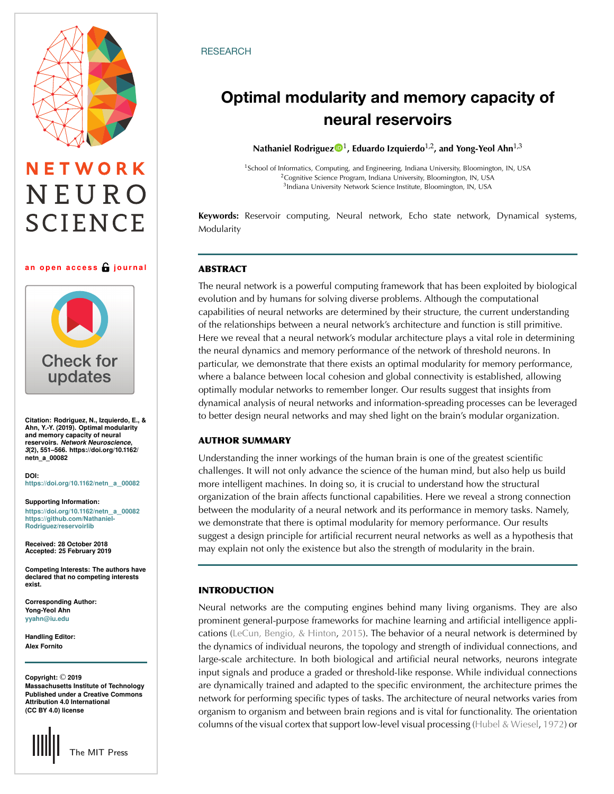# NETWORK NEURO **SCIENCE**

#### **an open access journal**



**Citation: Rodriguez, N., Izquierdo, E., & Ahn, Y.-Y. (2019). Optimal modularity and memory capacity of neural reservoirs.** *Network Neuroscience***,** *3***(2), 551–566. https://doi.org/10.1162/ netn\_a\_00082**

**DOI: [https://doi.org/10.1162/netn](https://doi.org/10.1162/netn_a_00082)**\_**a**\_**<sup>00082</sup>**

**Supporting Information: [https://doi.org/10.1162/netn](https://doi.org/10.1162/netn_a_00082)**\_**a**\_**<sup>00082</sup> [https://github.com/Nathaniel-](https://github.com/Nathaniel-Rodriguez/reservoirlib)[Rodriguez/reservoirlib](https://github.com/Nathaniel-Rodriguez/reservoirlib)**

**Received: 28 October 2018 Accepted: 25 February 2019**

**Competing Interests: The authors have declared that no competing interests exist.**

**Corresponding Author: Yong-Yeol Ahn [yyahn@iu.edu](mailto:yyahn@iu.edu)**

**Handling Editor: Alex Fornito**

**Copyright:** © **2019 Massachusetts Institute of Technology Published under a Creative Commons Attribution 4.0 International (CC BY 4.0) license**



#### **RESEARCH**

## **Optimal modularity and memory capacity of neural reservoirs**

**Nathaniel Rodriguez**<sup>[1](https://orcid.org/0000-0002-7967-6841)</sup><sup>1</sup>, Eduardo Izquierdo<sup>1,2</sup>, and Yong-Yeol Ahn<sup>1,3</sup>

<sup>1</sup>School of Informatics, Computing, and Engineering, Indiana University, Bloomington, IN, USA <sup>2</sup>Cognitive Science Program, Indiana University, Bloomington, IN, USA <sup>3</sup>Indiana University Network Science Institute, Bloomington, IN, USA

**Keywords:** Reservoir computing, Neural network, Echo state network, Dynamical systems, Modularity

### **ABSTRACT**

The neural network is a powerful computing framework that has been exploited by biological evolution and by humans for solving diverse problems. Although the computational capabilities of neural networks are determined by their structure, the current understanding of the relationships between a neural network's architecture and function is still primitive. Here we reveal that a neural network's modular architecture plays a vital role in determining the neural dynamics and memory performance of the network of threshold neurons. In particular, we demonstrate that there exists an optimal modularity for memory performance, where a balance between local cohesion and global connectivity is established, allowing optimally modular networks to remember longer. Our results suggest that insights from dynamical analysis of neural networks and information-spreading processes can be leveraged to better design neural networks and may shed light on the brain's modular organization.

### **AUTHOR SUMMARY**

Understanding the inner workings of the human brain is one of the greatest scientific challenges. It will not only advance the science of the human mind, but also help us build more intelligent machines. In doing so, it is crucial to understand how the structural organization of the brain affects functional capabilities. Here we reveal a strong connection between the modularity of a neural network and its performance in memory tasks. Namely, we demonstrate that there is optimal modularity for memory performance. Our results suggest a design principle for artificial recurrent neural networks as well as a hypothesis that may explain not only the existence but also the strength of modularity in the brain.

### **INTRODUCTION**

Neural networks are the computing engines behind many living organisms. They are also prominent general-purpose frameworks for machine learning and artificial intelligence applications [\(LeCun, Bengio, & Hinton,](#page-14-0) [2015](#page-14-0)). The behavior of a neural network is determined by the dynamics of individual neurons, the topology and strength of individual connections, and large-scale architecture. In both biological and artificial neural networks, neurons integrate input signals and produce a graded or threshold-like response. While individual connections are dynamically trained and adapted to the specific environment, the architecture primes the network for performing specific types of tasks. The architecture of neural networks varies from organism to organism and between brain regions and is vital for functionality. The orientation columns of the visual cortex that support low-level visual processing [\(Hubel & Wiesel](#page-13-0), [1972\)](#page-13-0) or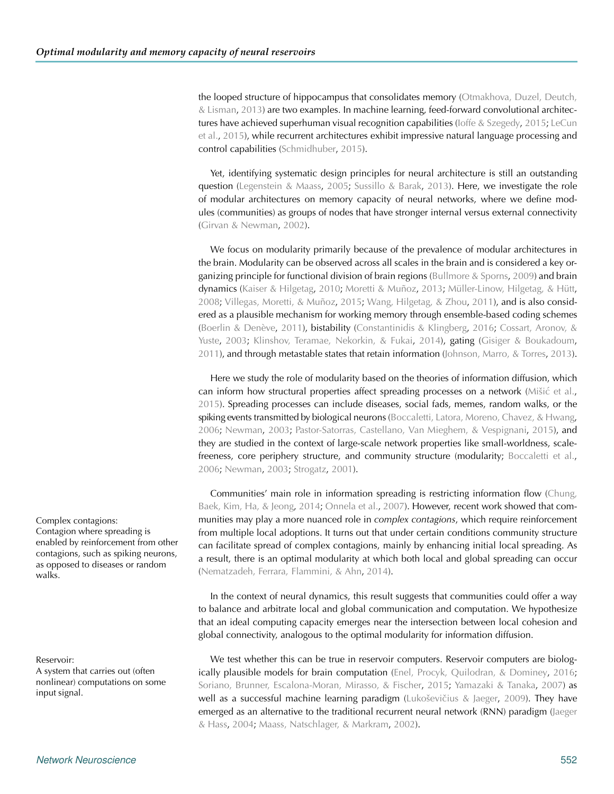the loop[ed structure of hippocampus that consolidates memory \(](#page-14-1)Otmakhova, Duzel, Deutch, & Lisman, [2013\)](#page-14-1) are two examples. In machine learning, feed-forward convolutional architectures [have achieved superhuman visual recognition capabilities](#page-14-0) [\(Ioffe & Szegedy](#page-13-1)[,](#page-14-0) [2015;](#page-13-1) LeCun et al., [2015\)](#page-14-0), while recurrent architectures exhibit impressive natural language processing and control capabilities [\(Schmidhuber,](#page-14-2) [2015](#page-14-2)).

Yet, identifying systematic design principles for neural architecture is still an outstanding question [\(Legenstein & Maass](#page-14-3), [2005;](#page-14-3) [Sussillo & Barak](#page-15-0), [2013\)](#page-15-0). Here, we investigate the role of modular architectures on memory capacity of neural networks, where we define modules (communities) as groups of nodes that have stronger internal versus external connectivity [\(Girvan & Newman](#page-13-2), [2002\)](#page-13-2).

We focus on modularity primarily because of the prevalence of modular architectures in the brain. Modularity can be observed across all scales in the brain and is considered a key organizing principle for functional division of brain regions [\(Bullmore & Sporns,](#page-13-3) [2009\)](#page-13-3) and brain dynamics [\(Kaiser & Hilgetag,](#page-14-4) [2010](#page-14-4); [Moretti & Muñoz](#page-14-5), [2013;](#page-14-5) [Müller-Linow, Hilgetag, & Hütt](#page-14-6), [2008](#page-14-6); [Villegas, Moretti, & Muñoz,](#page-15-1) [2015;](#page-15-1) [Wang, Hilgetag, & Zhou,](#page-15-2) [2011](#page-15-2)), and is also considered as a plausible mechanism for working memory through ensemble-based coding schemes [\(Boerlin & Denève,](#page-13-4) [2011](#page-13-4)[\), bistability](#page-13-6) [\(Constantinidis & Klingberg](#page-13-5)[,](#page-13-6) [2016;](#page-13-5) Cossart, Aronov, & Yuste, [2003](#page-13-6); [Klinshov, Teramae, Nekorkin, & Fukai,](#page-14-7) [2014\)](#page-14-7), gating [\(Gisiger & Boukadoum](#page-13-7), [2011](#page-13-7)), and through metastable states that retain information [\(Johnson, Marro, & Torres](#page-13-8), [2013\)](#page-13-8).

Here we study the role of modularity based on the theories of information diffusion, which can inform how structural properties affect spreading processes on a network (Mišić et al., [2015](#page-14-8)). Spreading processes can include diseases, social fads, memes, random walks, or the spiking events transmitted by biological neurons [\(Boccaletti, Latora, Moreno, Chavez, & Hwang](#page-13-9), [2006](#page-13-9); [Newman,](#page-14-9) [2003;](#page-14-9) [Pastor-Satorras, Castellano, Van Mieghem, & Vespignani](#page-14-10), [2015](#page-14-10)), and they are studied in the context of large-scale network properties like small-worldness, scale-freeness, core periphery structure, and community structure (modularity; [Boccaletti et al.](#page-13-9), [2006](#page-13-9); [Newman](#page-14-9), [2003;](#page-14-9) [Strogatz](#page-15-3), [2001](#page-15-3)).

Communities' main role in information spreading is restricting information flow (Chung, Baek, Kim, Ha, & Jeong, [2014](#page-13-10); [Onnela et al.](#page-14-11), [2007](#page-14-11)). However, recent work showed that com-Complex contagions: munities may play a more nuanced role in *complex contagions*, which require reinforcement from multiple local adoptions. It turns out that under certain conditions community structure can facilitate spread of complex contagions, mainly by enhancing initial local spreading. As a result, there is an optimal modularity at which both local and global spreading can occur [\(Nematzadeh, Ferrara, Flammini, & Ahn,](#page-14-12) [2014](#page-14-12)).

> In the context of neural dynamics, this result suggests that communities could offer a way to balance and arbitrate local and global communication and computation. We hypothesize that an ideal computing capacity emerges near the intersection between local cohesion and global connectivity, analogous to the optimal modularity for information diffusion.

Reservoir: We test whether this can be true in reservoir computers. Reservoir computers are biologically plausible models for brain computation [\(Enel, Procyk, Quilodran, & Dominey,](#page-13-11) [2016](#page-13-11); [Soriano, Brunner, Escalona-Moran, Mirasso, & Fischer](#page-15-4), [2015;](#page-15-4) [Yamazaki & Tanaka](#page-15-5), [2007](#page-15-5)) as well as a successful machine learning paradigm (Lukoševičius  $\&$  Jaeger, [2009](#page-14-13)). They have emerg[ed as an alternative to the traditional recurrent neural network \(RNN\) paradigm \(](#page-13-12)Jaeger & Hass, [2004](#page-13-12); [Maass, Natschlager, & Markram,](#page-14-14) [2002](#page-14-14)).

Contagion where spreading is enabled by reinforcement from other contagions, such as spiking neurons, as opposed to diseases or random walks.

A system that carries out (often nonlinear) computations on some input signal.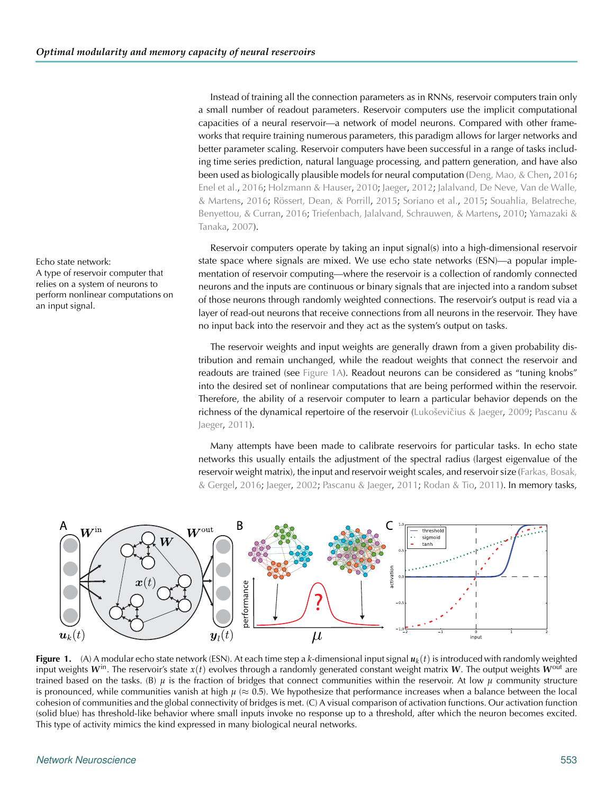Instead of training all the connection parameters as in RNNs, reservoir computers train only a small number of readout parameters. Reservoir computers use the implicit computational capacities of a neural reservoir—a network of model neurons. Compared with other frameworks that require training numerous parameters, this paradigm allows for larger networks and better parameter scaling. Reservoir computers have been successful in a range of tasks including time series prediction, natural language processing, and pattern generation, and have also been used as biologically plausible models for neural computation [\(Deng, Mao, & Chen,](#page-13-13) [2016](#page-13-13); [Enel et al.,](#page-13-11) [2016;](#page-13-11) [Holzmann & Hauser](#page-13-14)[,](#page-13-16) [2010;](#page-13-14) [Jaeger,](#page-13-15) [2012](#page-13-15); Jalalvand, De Neve, Van de Walle, & Martens, [2016](#page-13-16); [Rössert, Dean, & Porrill,](#page-14-15) [2015](#page-14-15); [Soriano et al.,](#page-15-4) [2015;](#page-15-4) Souahlia, Belatreche, Benyettou, & Curran, [2016](#page-15-6); [Triefenbach, Jalalvand, Schrauwen, & Martens](#page-15-7)[,](#page-15-5) [2010](#page-15-7); Yamazaki & Tanaka, [2007\)](#page-15-5).

Reservoir computers operate by taking an input signal(s) into a high-dimensional reservoir Echo state network: state space where signals are mixed. We use echo state networks (ESN)—a popular implementation of reservoir computing—where the reservoir is a collection of randomly connected neurons and the inputs are continuous or binary signals that are injected into a random subset of those neurons through randomly weighted connections. The reservoir's output is read via a layer of read-out neurons that receive connections from all neurons in the reservoir. They have no input back into the reservoir and they act as the system's output on tasks.

> The reservoir weights and input weights are generally drawn from a given probability distribution and remain unchanged, while the readout weights that connect the reservoir and readouts are trained (see [Figure 1A\)](#page-2-0). Readout neurons can be considered as "tuning knobs" into the desired set of nonlinear computations that are being performed within the reservoir. Therefore, the ability of a reservoir computer to learn a particular behavior depends on the richn[ess of the dynamical repertoire of the reservoir](#page-14-16) (Lukoševičius & Jaeger, [2009](#page-14-13); Pascanu & Jaeger, [2011\)](#page-14-16).

> Many attempts have been made to calibrate reservoirs for particular tasks. In echo state networks this usually entails the adjustment of the spectral radius (largest eigenvalue of the reservoir [weight matrix\), the input and reservoir weight scales, and reservoir size \(](#page-13-17)Farkas, Bosak, & Gergel, [2016;](#page-13-17) [Jaeger](#page-13-18), [2002;](#page-13-18) [Pascanu & Jaeger,](#page-14-16) [2011](#page-14-16); [Rodan & Tio](#page-14-17), [2011](#page-14-17)). In memory tasks,



<span id="page-2-0"></span>**Figure 1.** (A) A modular echo state network (ESN). At each time step a *k*-dimensional input signal  $u_k(t)$  is introduced with randomly weighted input weights *W*in. The reservoir's state *x*(*t*) evolves through a randomly generated constant weight matrix *W*. The output weights *W*out are trained based on the tasks. (B) *μ* is the fraction of bridges that connect communities within the reservoir. At low *μ* community structure is pronounced, while communities vanish at high  $\mu \approx 0.5$ ). We hypothesize that performance increases when a balance between the local cohesion of communities and the global connectivity of bridges is met. (C) A visual comparison of activation functions. Our activation function (solid blue) has threshold-like behavior where small inputs invoke no response up to a threshold, after which the neuron becomes excited. This type of activity mimics the kind expressed in many biological neural networks.

A type of reservoir computer that relies on a system of neurons to perform nonlinear computations on an input signal.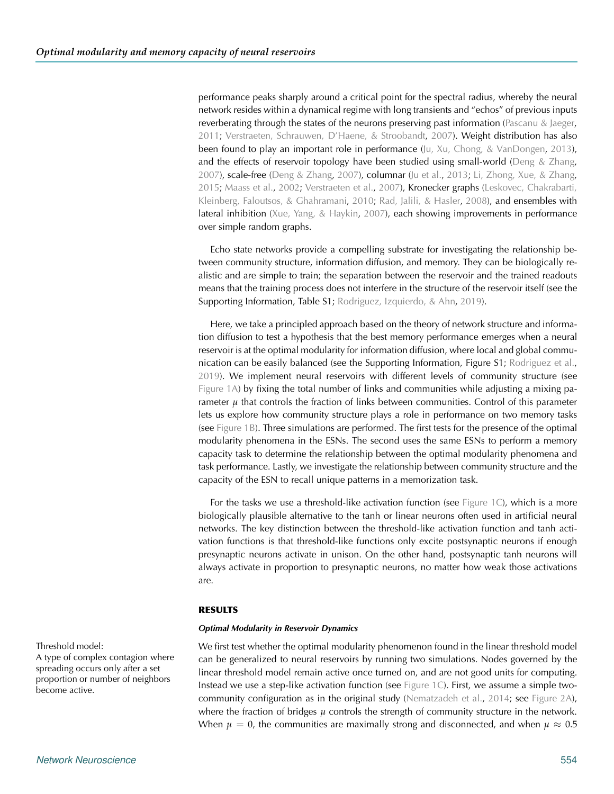performance peaks sharply around a critical point for the spectral radius, whereby the neural network resides within a dynamical regime with long transients and "echos" of previous inputs reverberating through the states of the neurons preserving past information [\(Pascanu & Jaeger,](#page-14-16) [2011](#page-14-16); [Verstraeten, Schrauwen, D'Haene, & Stroobandt](#page-15-8), [2007\)](#page-15-8). Weight distribution has also been found to play an important role in performance [\(Ju, Xu, Chong, & VanDongen,](#page-13-19) [2013\)](#page-13-19), and the effects of reservoir topology have been studied using small-world (Deng  $\&$  Zhang, [2007\)](#page-13-20), scale-free [\(Deng & Zhang](#page-13-20), 2007), columnar [\(Ju et al.,](#page-13-19) [2013](#page-13-19); [Li, Zhong, Xue, & Zhang](#page-14-18), [2015;](#page-14-18) [Maass et al.,](#page-14-14) [2002](#page-14-14); [Verstraeten et al.](#page-15-8), [2007](#page-15-8)[\), Kronecker graphs \(](#page-14-19)Leskovec, Chakrabarti, Kleinberg, Faloutsos, & Ghahramani, [2010;](#page-14-19) [Rad, Jalili, & Hasler](#page-14-20), [2008\)](#page-14-20), and ensembles with lateral inhibition [\(Xue, Yang, & Haykin](#page-15-9), [2007](#page-15-9)), each showing improvements in performance over simple random graphs.

Echo state networks provide a compelling substrate for investigating the relationship between community structure, information diffusion, and memory. They can be biologically realistic and are simple to train; the separation between the reservoir and the trained readouts means that the training process does not interfere in the structure of the reservoir itself (see the Supporting Information, Table S1; [Rodriguez, Izquierdo, & Ahn](#page-14-21), [2019](#page-14-21)).

Here, we take a principled approach based on the theory of network structure and information diffusion to test a hypothesis that the best memory performance emerges when a neural reservoir is at the optimal modularity for information diffusion, where local and global communication can be easily balanced (see the Supporting Information, Figure S1; [Rodriguez et al.](#page-14-21), [2019\)](#page-14-21). We implement neural reservoirs with different levels of community structure (see [Figure 1A\)](#page-2-0) by fixing the total number of links and communities while adjusting a mixing parameter *μ* that controls the fraction of links between communities. Control of this parameter lets us explore how community structure plays a role in performance on two memory tasks (see [Figure 1B\)](#page-2-0). Three simulations are performed. The first tests for the presence of the optimal modularity phenomena in the ESNs. The second uses the same ESNs to perform a memory capacity task to determine the relationship between the optimal modularity phenomena and task performance. Lastly, we investigate the relationship between community structure and the capacity of the ESN to recall unique patterns in a memorization task.

For the tasks we use a threshold-like activation function (see [Figure 1C\)](#page-2-0), which is a more biologically plausible alternative to the tanh or linear neurons often used in artificial neural networks. The key distinction between the threshold-like activation function and tanh activation functions is that threshold-like functions only excite postsynaptic neurons if enough presynaptic neurons activate in unison. On the other hand, postsynaptic tanh neurons will always activate in proportion to presynaptic neurons, no matter how weak those activations are.

#### **RESULTS**

#### *Optimal Modularity in Reservoir Dynamics*

Threshold model: We first test whether the optimal modularity phenomenon found in the linear threshold model can be generalized to neural reservoirs by running two simulations. Nodes governed by the linear threshold model remain active once turned on, and are not good units for computing. Instead we use a step-like activation function (see [Figure 1C\)](#page-2-0). First, we assume a simple twocommunity configuration as in the original study [\(Nematzadeh et al.](#page-14-12), [2014](#page-14-12); see [Figure 2A\)](#page-4-0), where the fraction of bridges  $\mu$  controls the strength of community structure in the network. When  $\mu = 0$ , the communities are maximally strong and disconnected, and when  $\mu \approx 0.5$ 

A type of complex contagion where spreading occurs only after a set proportion or number of neighbors become active.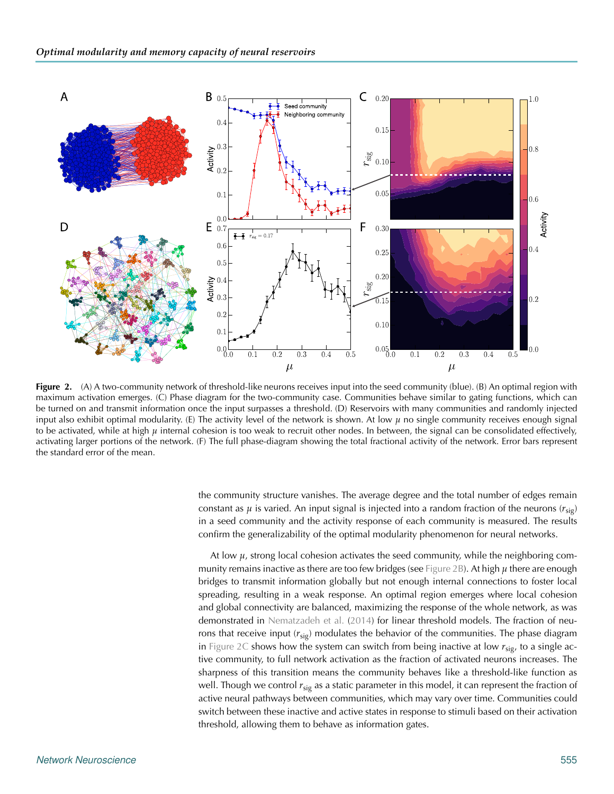

<span id="page-4-0"></span>**Figure 2.** (A) A two-community network of threshold-like neurons receives input into the seed community (blue). (B) An optimal region with maximum activation emerges. (C) Phase diagram for the two-community case. Communities behave similar to gating functions, which can be turned on and transmit information once the input surpasses a threshold. (D) Reservoirs with many communities and randomly injected input also exhibit optimal modularity. (E) The activity level of the network is shown. At low *μ* no single community receives enough signal to be activated, while at high *μ* internal cohesion is too weak to recruit other nodes. In between, the signal can be consolidated effectively, activating larger portions of the network. (F) The full phase-diagram showing the total fractional activity of the network. Error bars represent the standard error of the mean.

the community structure vanishes. The average degree and the total number of edges remain constant as  $\mu$  is varied. An input signal is injected into a random fraction of the neurons  $(r_{\rm sig})$ in a seed community and the activity response of each community is measured. The results confirm the generalizability of the optimal modularity phenomenon for neural networks.

At low  $\mu$ , strong local cohesion activates the seed community, while the neighboring community remains inactive as there are too few bridges (see [Figure 2B\)](#page-4-0). At high *μ* there are enough bridges to transmit information globally but not enough internal connections to foster local spreading, resulting in a weak response. An optimal region emerges where local cohesion and global connectivity are balanced, maximizing the response of the whole network, as was demonstrated in [Nematzadeh et al.](#page-14-12) [\(2014\)](#page-14-12) for linear threshold models. The fraction of neurons that receive input (*r*sig) modulates the behavior of the communities. The phase diagram in [Figure 2C](#page-4-0) shows how the system can switch from being inactive at low  $r_{\rm sig}$ , to a single active community, to full network activation as the fraction of activated neurons increases. The sharpness of this transition means the community behaves like a threshold-like function as well. Though we control  $r_{sig}$  as a static parameter in this model, it can represent the fraction of active neural pathways between communities, which may vary over time. Communities could switch between these inactive and active states in response to stimuli based on their activation threshold, allowing them to behave as information gates.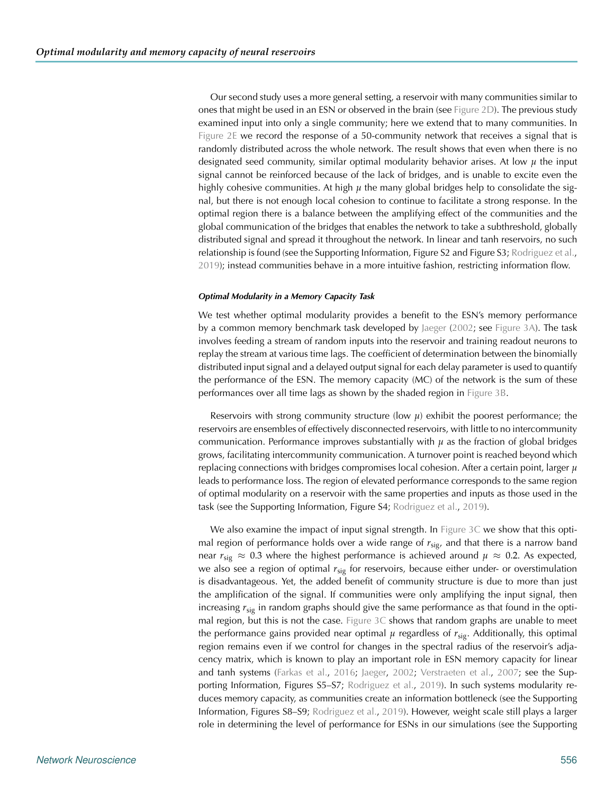Our second study uses a more general setting, a reservoir with many communities similar to ones that might be used in an ESN or observed in the brain (see [Figure 2D\)](#page-4-0). The previous study examined input into only a single community; here we extend that to many communities. In [Figure 2E](#page-4-0) we record the response of a 50-community network that receives a signal that is randomly distributed across the whole network. The result shows that even when there is no designated seed community, similar optimal modularity behavior arises. At low *μ* the input signal cannot be reinforced because of the lack of bridges, and is unable to excite even the highly cohesive communities. At high *μ* the many global bridges help to consolidate the signal, but there is not enough local cohesion to continue to facilitate a strong response. In the optimal region there is a balance between the amplifying effect of the communities and the global communication of the bridges that enables the network to take a subthreshold, globally distributed signal and spread it throughout the network. In linear and tanh reservoirs, no such relationship is found (see the Supporting Information, Figure S2 and Figure S3; [Rodriguez et al.](#page-14-21), [2019\)](#page-14-21); instead communities behave in a more intuitive fashion, restricting information flow.

#### *Optimal Modularity in a Memory Capacity Task*

We test whether optimal modularity provides a benefit to the ESN's memory performance by a common memory benchmark task developed by [Jaeger](#page-13-18) [\(2002](#page-13-18); see [Figure 3A\)](#page-6-0). The task involves feeding a stream of random inputs into the reservoir and training readout neurons to replay the stream at various time lags. The coefficient of determination between the binomially distributed input signal and a delayed output signal for each delay parameter is used to quantify the performance of the ESN. The memory capacity (MC) of the network is the sum of these performances over all time lags as shown by the shaded region in [Figure 3B.](#page-6-0)

Reservoirs with strong community structure (low *μ*) exhibit the poorest performance; the reservoirs are ensembles of effectively disconnected reservoirs, with little to no intercommunity communication. Performance improves substantially with  $\mu$  as the fraction of global bridges grows, facilitating intercommunity communication. A turnover point is reached beyond which replacing connections with bridges compromises local cohesion. After a certain point, larger *μ* leads to performance loss. The region of elevated performance corresponds to the same region of optimal modularity on a reservoir with the same properties and inputs as those used in the task (see the Supporting Information, Figure S4; [Rodriguez et al.](#page-14-21), [2019\)](#page-14-21).

We also examine the impact of input signal strength. In [Figure 3C](#page-6-0) we show that this optimal region of performance holds over a wide range of *r*sig, and that there is a narrow band near  $r_{\text{sig}} \approx 0.3$  where the highest performance is achieved around  $\mu \approx 0.2$ . As expected, we also see a region of optimal *r*sig for reservoirs, because either under- or overstimulation is disadvantageous. Yet, the added benefit of community structure is due to more than just the amplification of the signal. If communities were only amplifying the input signal, then increasing *r*sig in random graphs should give the same performance as that found in the optimal region, but this is not the case. [Figure 3C](#page-6-0) shows that random graphs are unable to meet the performance gains provided near optimal *μ* regardless of *r*sig. Additionally, this optimal region remains even if we control for changes in the spectral radius of the reservoir's adjacency matrix, which is known to play an important role in ESN memory capacity for linear and tanh systems [\(Farkas et al.,](#page-13-17) [2016](#page-13-17); [Jaeger](#page-13-18), [2002](#page-13-18); [Verstraeten et al.,](#page-15-8) [2007](#page-15-8); see the Supporting Information, Figures S5–S7; [Rodriguez et al.,](#page-14-21) [2019](#page-14-21)). In such systems modularity reduces memory capacity, as communities create an information bottleneck (see the Supporting Information, Figures S8–S9; [Rodriguez et al.,](#page-14-21) [2019](#page-14-21)). However, weight scale still plays a larger role in determining the level of performance for ESNs in our simulations (see the Supporting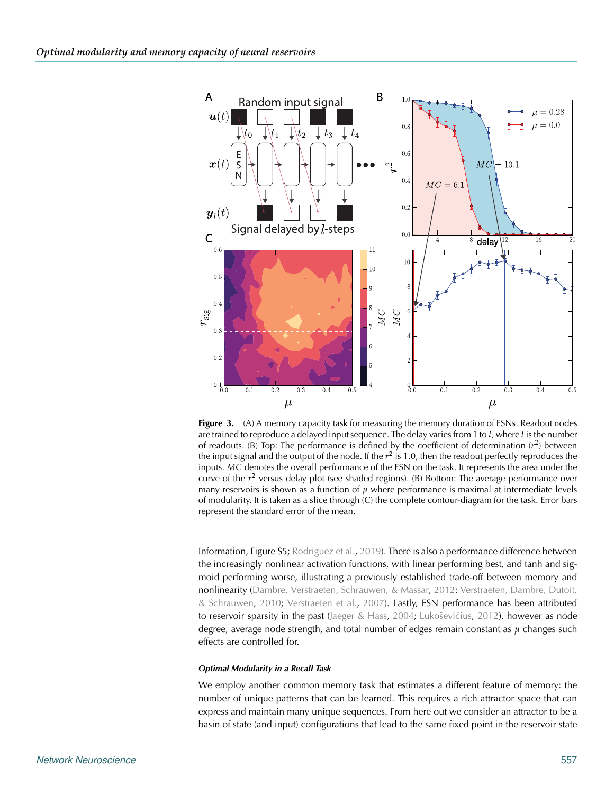

<span id="page-6-0"></span>**Figure 3.** (A) A memory capacity task for measuring the memory duration of ESNs. Readout nodes are trained to reproduce a delayed input sequence. The delay varies from 1 to *l*, where *l* is the number of readouts. (B) Top: The performance is defined by the coefficient of determination  $(r^2)$  between the input signal and the output of the node. If the  $r^2$  is 1.0, then the readout perfectly reproduces the inputs. *MC* denotes the overall performance of the ESN on the task. It represents the area under the curve of the *r*<sup>2</sup> versus delay plot (see shaded regions). (B) Bottom: The average performance over many reservoirs is shown as a function of  $\mu$  where performance is maximal at intermediate levels of modularity. It is taken as a slice through (C) the complete contour-diagram for the task. Error bars represent the standard error of the mean.

Information, Figure S5; [Rodriguez et al.](#page-14-21), [2019](#page-14-21)). There is also a performance difference between the increasingly nonlinear activation functions, with linear performing best, and tanh and sigmoid performing worse, illustrating a previously established trade-off between memory and nonlinearity [\(Dambre, Verstraeten, Schrauwen, & Massar](#page-13-21)[,](#page-15-10) [2012](#page-13-21); Verstraeten, Dambre, Dutoit, & Schrauwen, [2010](#page-15-10); [Verstraeten et al.](#page-15-8), [2007](#page-15-8)). Lastly, ESN performance has been attributed to reservoir sparsity in the past [\(Jaeger & Hass](#page-13-12), [2004;](#page-13-12) Lukoševičius, [2012\)](#page-14-22), however as node degree, average node strength, and total number of edges remain constant as *μ* changes such effects are controlled for.

#### *Optimal Modularity in a Recall Task*

We employ another common memory task that estimates a different feature of memory: the number of unique patterns that can be learned. This requires a rich attractor space that can express and maintain many unique sequences. From here out we consider an attractor to be a basin of state (and input) configurations that lead to the same fixed point in the reservoir state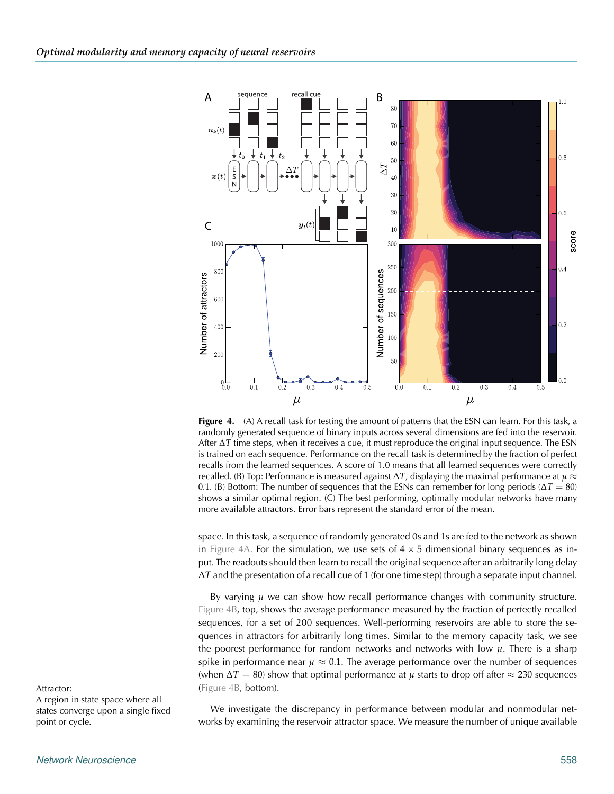

<span id="page-7-0"></span>**Figure 4.** (A) A recall task for testing the amount of patterns that the ESN can learn. For this task, a randomly generated sequence of binary inputs across several dimensions are fed into the reservoir. After Δ*T* time steps, when it receives a cue, it must reproduce the original input sequence. The ESN is trained on each sequence. Performance on the recall task is determined by the fraction of perfect recalls from the learned sequences. A score of 1.0 means that all learned sequences were correctly recalled. (B) Top: Performance is measured against  $\Delta T$ , displaying the maximal performance at  $\mu \approx$ 0.1. (B) Bottom: The number of sequences that the ESNs can remember for long periods ( $\Delta T = 80$ ) shows a similar optimal region. (C) The best performing, optimally modular networks have many more available attractors. Error bars represent the standard error of the mean.

space. In this task, a sequence of randomly generated 0s and 1s are fed to the network as shown in [Figure 4A.](#page-7-0) For the simulation, we use sets of  $4 \times 5$  dimensional binary sequences as input. The readouts should then learn to recall the original sequence after an arbitrarily long delay Δ*T* and the presentation of a recall cue of 1 (for one time step) through a separate input channel.

By varying *μ* we can show how recall performance changes with community structure. [Figure 4B,](#page-7-0) top, shows the average performance measured by the fraction of perfectly recalled sequences, for a set of 200 sequences. Well-performing reservoirs are able to store the sequences in attractors for arbitrarily long times. Similar to the memory capacity task, we see the poorest performance for random networks and networks with low *μ*. There is a sharp spike in performance near  $\mu \approx 0.1$ . The average performance over the number of sequences (when  $\Delta T = 80$ ) show that optimal performance at  $\mu$  starts to drop off after  $\approx 230$  sequences [\(Figure 4B,](#page-7-0) bottom).

We investigate the discrepancy in performance between modular and nonmodular networks by examining the reservoir attractor space. We measure the number of unique available

#### Attractor:

A region in state space where all states converge upon a single fixed point or cycle.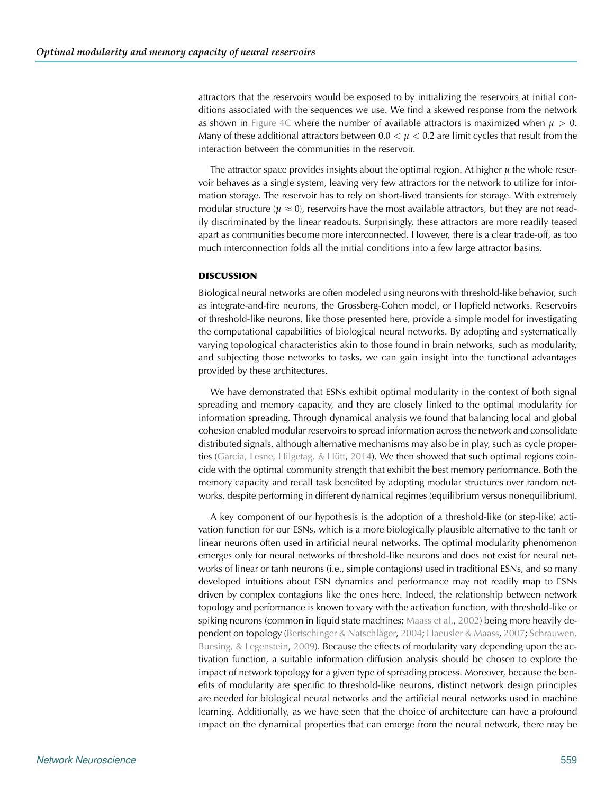attractors that the reservoirs would be exposed to by initializing the reservoirs at initial conditions associated with the sequences we use. We find a skewed response from the network as shown in [Figure 4C](#page-7-0) where the number of available attractors is maximized when *μ >* 0. Many of these additional attractors between  $0.0 < \mu < 0.2$  are limit cycles that result from the interaction between the communities in the reservoir.

The attractor space provides insights about the optimal region. At higher *μ* the whole reservoir behaves as a single system, leaving very few attractors for the network to utilize for information storage. The reservoir has to rely on short-lived transients for storage. With extremely modular structure ( $\mu \approx 0$ ), reservoirs have the most available attractors, but they are not readily discriminated by the linear readouts. Surprisingly, these attractors are more readily teased apart as communities become more interconnected. However, there is a clear trade-off, as too much interconnection folds all the initial conditions into a few large attractor basins.

#### **DISCUSSION**

Biological neural networks are often modeled using neurons with threshold-like behavior, such as integrate-and-fire neurons, the Grossberg-Cohen model, or Hopfield networks. Reservoirs of threshold-like neurons, like those presented here, provide a simple model for investigating the computational capabilities of biological neural networks. By adopting and systematically varying topological characteristics akin to those found in brain networks, such as modularity, and subjecting those networks to tasks, we can gain insight into the functional advantages provided by these architectures.

We have demonstrated that ESNs exhibit optimal modularity in the context of both signal spreading and memory capacity, and they are closely linked to the optimal modularity for information spreading. Through dynamical analysis we found that balancing local and global cohesion enabled modular reservoirs to spread information across the network and consolidate distributed signals, although alternative mechanisms may also be in play, such as cycle properties [\(Garcia, Lesne, Hilgetag, & Hütt](#page-13-22), [2014\)](#page-13-22). We then showed that such optimal regions coincide with the optimal community strength that exhibit the best memory performance. Both the memory capacity and recall task benefited by adopting modular structures over random networks, despite performing in different dynamical regimes (equilibrium versus nonequilibrium).

A key component of our hypothesis is the adoption of a threshold-like (or step-like) activation function for our ESNs, which is a more biologically plausible alternative to the tanh or linear neurons often used in artificial neural networks. The optimal modularity phenomenon emerges only for neural networks of threshold-like neurons and does not exist for neural networks of linear or tanh neurons (i.e., simple contagions) used in traditional ESNs, and so many developed intuitions about ESN dynamics and performance may not readily map to ESNs driven by complex contagions like the ones here. Indeed, the relationship between network topology and performance is known to vary with the activation function, with threshold-like or spiking neurons (common in liquid state machines; [Maass et al.](#page-14-14), [2002](#page-14-14)) being more heavily dependent on topology [\(Bertschinger & Natschläger](#page-13-23)[,](#page-14-23) [2004;](#page-13-23) [Haeusler & Maass,](#page-13-24) [2007;](#page-13-24) Schrauwen, Buesing, & Legenstein, [2009](#page-14-23)). Because the effects of modularity vary depending upon the activation function, a suitable information diffusion analysis should be chosen to explore the impact of network topology for a given type of spreading process. Moreover, because the benefits of modularity are specific to threshold-like neurons, distinct network design principles are needed for biological neural networks and the artificial neural networks used in machine learning. Additionally, as we have seen that the choice of architecture can have a profound impact on the dynamical properties that can emerge from the neural network, there may be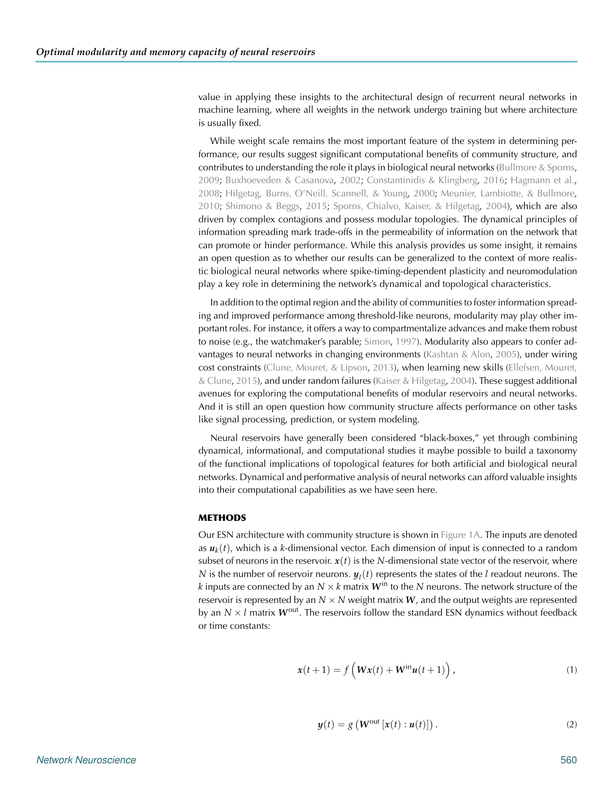value in applying these insights to the architectural design of recurrent neural networks in machine learning, where all weights in the network undergo training but where architecture is usually fixed.

While weight scale remains the most important feature of the system in determining performance, our results suggest significant computational benefits of community structure, and contributes to understanding the role it plays in biological neural networks [\(Bullmore & Sporns](#page-13-3), [2009](#page-13-3); [Buxhoeveden & Casanova](#page-13-25), [2002](#page-13-25); [Constantinidis & Klingberg](#page-13-5), [2016](#page-13-5); [Hagmann et al.](#page-13-26), [2008](#page-13-26); [Hilgetag, Burns, O'Neill, Scannell, & Young,](#page-13-27) [2000;](#page-13-27) [Meunier, Lambiotte, & Bullmore](#page-14-24), [2010](#page-14-24); [Shimono & Beggs,](#page-15-11) [2015](#page-15-11); [Sporns, Chialvo, Kaiser, & Hilgetag](#page-15-12), [2004](#page-15-12)), which are also driven by complex contagions and possess modular topologies. The dynamical principles of information spreading mark trade-offs in the permeability of information on the network that can promote or hinder performance. While this analysis provides us some insight, it remains an open question as to whether our results can be generalized to the context of more realistic biological neural networks where spike-timing-dependent plasticity and neuromodulation play a key role in determining the network's dynamical and topological characteristics.

In addition to the optimal region and the ability of communities to foster information spreading and improved performance among threshold-like neurons, modularity may play other important roles. For instance, it offers a way to compartmentalize advances and make them robust to noise (e.g., the watchmaker's parable; [Simon](#page-15-13), [1997\)](#page-15-13). Modularity also appears to confer advantages to neural networks in changing environments [\(Kashtan & Alon](#page-14-25), [2005\)](#page-14-25), under wiring cost co[nstraints](#page-13-29) [\(Clune, Mouret, & Lipson,](#page-13-28) [2013](#page-13-28)), when learning new skills (Ellefsen, Mouret, & Clune, [2015\)](#page-13-29), and under random failures [\(Kaiser & Hilgetag,](#page-14-26) [2004\)](#page-14-26). These suggest additional avenues for exploring the computational benefits of modular reservoirs and neural networks. And it is still an open question how community structure affects performance on other tasks like signal processing, prediction, or system modeling.

Neural reservoirs have generally been considered "black-boxes," yet through combining dynamical, informational, and computational studies it maybe possible to build a taxonomy of the functional implications of topological features for both artificial and biological neural networks. Dynamical and performative analysis of neural networks can afford valuable insights into their computational capabilities as we have seen here.

#### **METHODS**

Our ESN architecture with community structure is shown in [Figure 1A.](#page-2-0) The inputs are denoted as  $u_k(t)$ , which is a *k*-dimensional vector. Each dimension of input is connected to a random subset of neurons in the reservoir.  $x(t)$  is the *N*-dimensional state vector of the reservoir, where  $N$  is the number of reservoir neurons.  $\bm{y}_l(t)$  represents the states of the  $l$  readout neurons. The *k* inputs are connected by an  $N \times k$  matrix  $W^{in}$  to the *N* neurons. The network structure of the reservoir is represented by an  $N \times N$  weight matrix  $W$ , and the output weights are represented by an  $N \times l$  matrix  $W^{out}$ . The reservoirs follow the standard ESN dynamics without feedback or time constants:

$$
\mathbf{x}(t+1) = f\left(\mathbf{W}\mathbf{x}(t) + \mathbf{W}^{\text{in}}\mathbf{u}(t+1)\right),\tag{1}
$$

$$
\mathbf{y}(t) = g\left(\mathbf{W}^{\text{out}}\left[\mathbf{x}(t):\mathbf{u}(t)\right]\right). \tag{2}
$$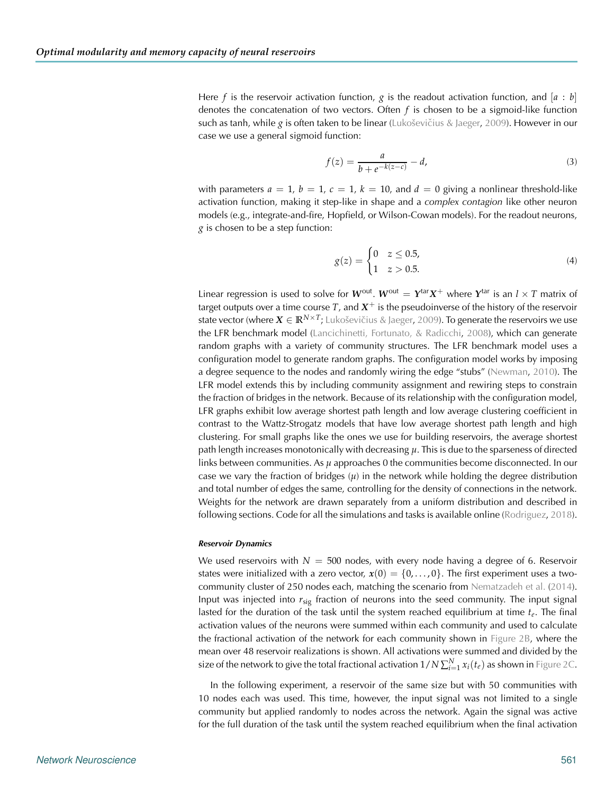Here *f* is the reservoir activation function, *g* is the readout activation function, and  $[a : b]$ denotes the concatenation of two vectors. Often *f* is chosen to be a sigmoid-like function such as tanh, while *g* is often taken to be linear (Lukoševičius & Jaeger, [2009](#page-14-13)). However in our case we use a general sigmoid function:

$$
f(z) = \frac{a}{b + e^{-k(z - c)}} - d,
$$
\n(3)

with parameters  $a = 1$ ,  $b = 1$ ,  $c = 1$ ,  $k = 10$ , and  $d = 0$  giving a nonlinear threshold-like activation function, making it step-like in shape and a *complex contagion* like other neuron models (e.g., integrate-and-fire, Hopfield, or Wilson-Cowan models). For the readout neurons, *g* is chosen to be a step function:

$$
g(z) = \begin{cases} 0 & z \le 0.5, \\ 1 & z > 0.5. \end{cases}
$$
 (4)

Linear regression is used to solve for *W*<sup>out</sup>. *W*<sup>out</sup> =  $Y^{\text{tar}}X^+$  where  $Y^{\text{tar}}$  is an *l* × *T* matrix of target outputs over a time course *T*, and *X*<sup>+</sup> is the pseudoinverse of the history of the reservoir state vector (where  $X \in \mathbb{R}^{N \times T}$ ; Lukoševičius & Jaeger, [2009\)](#page-14-13). To generate the reservoirs we use the LFR benchmark model [\(Lancichinetti, Fortunato, & Radicchi](#page-14-27), [2008](#page-14-27)), which can generate random graphs with a variety of community structures. The LFR benchmark model uses a configuration model to generate random graphs. The configuration model works by imposing a degree sequence to the nodes and randomly wiring the edge "stubs" [\(Newman](#page-14-28), [2010](#page-14-28)). The LFR model extends this by including community assignment and rewiring steps to constrain the fraction of bridges in the network. Because of its relationship with the configuration model, LFR graphs exhibit low average shortest path length and low average clustering coefficient in contrast to the Wattz-Strogatz models that have low average shortest path length and high clustering. For small graphs like the ones we use for building reservoirs, the average shortest path length increases monotonically with decreasing *μ*. This is due to the sparseness of directed links between communities. As *μ* approaches 0 the communities become disconnected. In our case we vary the fraction of bridges  $(\mu)$  in the network while holding the degree distribution and total number of edges the same, controlling for the density of connections in the network. Weights for the network are drawn separately from a uniform distribution and described in following sections. Code for all the simulations and tasks is available online [\(Rodriguez,](#page-14-29) [2018\)](#page-14-29).

#### *Reservoir Dynamics*

We used reservoirs with  $N = 500$  nodes, with every node having a degree of 6. Reservoir states were initialized with a zero vector,  $x(0) = \{0, \ldots, 0\}$ . The first experiment uses a twocommunity cluster of 250 nodes each, matching the scenario from [Nematzadeh et al.](#page-14-12) [\(2014\)](#page-14-12). Input was injected into *r*sig fraction of neurons into the seed community. The input signal lasted for the duration of the task until the system reached equilibrium at time *te*. The final activation values of the neurons were summed within each community and used to calculate the fractional activation of the network for each community shown in [Figure 2B,](#page-4-0) where the mean over 48 reservoir realizations is shown. All activations were summed and divided by the size of the network to give the total fractional activation  $1/N\sum_{i=1}^Nx_i(t_e)$  as shown in [Figure 2C.](#page-4-0)

In the following experiment, a reservoir of the same size but with 50 communities with 10 nodes each was used. This time, however, the input signal was not limited to a single community but applied randomly to nodes across the network. Again the signal was active for the full duration of the task until the system reached equilibrium when the final activation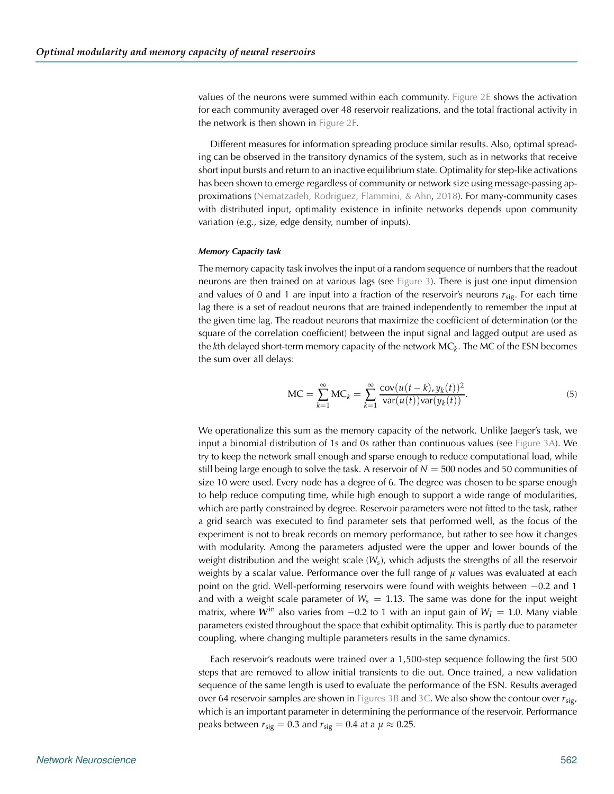values of the neurons were summed within each community. [Figure 2E](#page-4-0) shows the activation for each community averaged over 48 reservoir realizations, and the total fractional activity in the network is then shown in [Figure 2F.](#page-4-0)

Different measures for information spreading produce similar results. Also, optimal spreading can be observed in the transitory dynamics of the system, such as in networks that receive short input bursts and return to an inactive equilibrium state. Optimality for step-like activations has been shown to emerge regardless of community or network size using message-passing approximations [\(Nematzadeh, Rodriguez, Flammini, & Ahn](#page-14-30), [2018\)](#page-14-30). For many-community cases with distributed input, optimality existence in infinite networks depends upon community variation (e.g., size, edge density, number of inputs).

#### *Memory Capacity task*

The memory capacity task involves the input of a random sequence of numbers that the readout neurons are then trained on at various lags (see [Figure 3\)](#page-6-0). There is just one input dimension and values of 0 and 1 are input into a fraction of the reservoir's neurons  $r_{\rm sig}$ . For each time lag there is a set of readout neurons that are trained independently to remember the input at the given time lag. The readout neurons that maximize the coefficient of determination (or the square of the correlation coefficient) between the input signal and lagged output are used as the *k*th delayed short-term memory capacity of the network MC*k*. The MC of the ESN becomes the sum over all delays:

$$
MC = \sum_{k=1}^{\infty} MC_k = \sum_{k=1}^{\infty} \frac{cov(u(t-k), y_k(t))^2}{var(u(t))var(y_k(t))}.
$$
 (5)

We operationalize this sum as the memory capacity of the network. Unlike Jaeger's task, we input a binomial distribution of 1s and 0s rather than continuous values (see [Figure 3A\)](#page-6-0). We try to keep the network small enough and sparse enough to reduce computational load, while still being large enough to solve the task. A reservoir of  $N = 500$  nodes and 50 communities of size 10 were used. Every node has a degree of 6. The degree was chosen to be sparse enough to help reduce computing time, while high enough to support a wide range of modularities, which are partly constrained by degree. Reservoir parameters were not fitted to the task, rather a grid search was executed to find parameter sets that performed well, as the focus of the experiment is not to break records on memory performance, but rather to see how it changes with modularity. Among the parameters adjusted were the upper and lower bounds of the weight distribution and the weight scale (*Ws*), which adjusts the strengths of all the reservoir weights by a scalar value. Performance over the full range of *μ* values was evaluated at each point on the grid. Well-performing reservoirs were found with weights between −0.2 and 1 and with a weight scale parameter of  $W_s = 1.13$ . The same was done for the input weight matrix, where  $W^{in}$  also varies from  $-0.2$  to 1 with an input gain of  $W_I = 1.0$ . Many viable parameters existed throughout the space that exhibit optimality. This is partly due to parameter coupling, where changing multiple parameters results in the same dynamics.

Each reservoir's readouts were trained over a 1,500-step sequence following the first 500 steps that are removed to allow initial transients to die out. Once trained, a new validation sequence of the same length is used to evaluate the performance of the ESN. Results averaged over 64 reservoir samples are shown in [Figures 3B](#page-6-0) and [3C.](#page-6-0) We also show the contour over *r*sig, which is an important parameter in determining the performance of the reservoir. Performance peaks between  $r_{sig} = 0.3$  and  $r_{sig} = 0.4$  at a  $\mu \approx 0.25$ .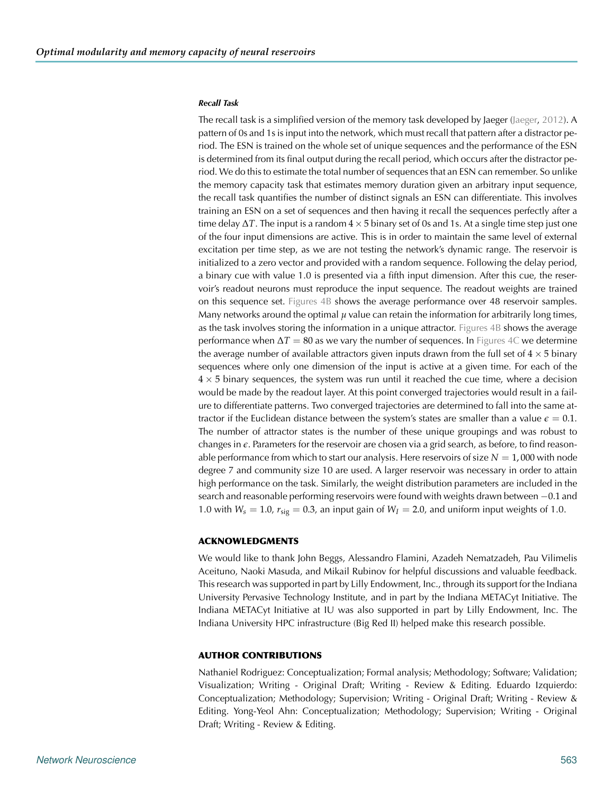#### *Recall Task*

The recall task is a simplified version of the memory task developed by Jaeger [\(Jaeger,](#page-13-15) [2012](#page-13-15)). A pattern of 0s and 1s is input into the network, which must recall that pattern after a distractor period. The ESN is trained on the whole set of unique sequences and the performance of the ESN is determined from its final output during the recall period, which occurs after the distractor period. We do this to estimate the total number of sequences that an ESN can remember. So unlike the memory capacity task that estimates memory duration given an arbitrary input sequence, the recall task quantifies the number of distinct signals an ESN can differentiate. This involves training an ESN on a set of sequences and then having it recall the sequences perfectly after a time delay  $\Delta T$ . The input is a random  $4 \times 5$  binary set of 0s and 1s. At a single time step just one of the four input dimensions are active. This is in order to maintain the same level of external excitation per time step, as we are not testing the network's dynamic range. The reservoir is initialized to a zero vector and provided with a random sequence. Following the delay period, a binary cue with value 1.0 is presented via a fifth input dimension. After this cue, the reservoir's readout neurons must reproduce the input sequence. The readout weights are trained on this sequence set. [Figures 4B](#page-7-0) shows the average performance over 48 reservoir samples. Many networks around the optimal *μ* value can retain the information for arbitrarily long times, as the task involves storing the information in a unique attractor. [Figures 4B](#page-7-0) shows the average performance when  $\Delta T = 80$  as we vary the number of sequences. In [Figures 4C](#page-7-0) we determine the average number of available attractors given inputs drawn from the full set of  $4 \times 5$  binary sequences where only one dimension of the input is active at a given time. For each of the  $4 \times 5$  binary sequences, the system was run until it reached the cue time, where a decision would be made by the readout layer. At this point converged trajectories would result in a failure to differentiate patterns. Two converged trajectories are determined to fall into the same attractor if the Euclidean distance between the system's states are smaller than a value  $\epsilon = 0.1$ . The number of attractor states is the number of these unique groupings and was robust to changes in  $\epsilon$ . Parameters for the reservoir are chosen via a grid search, as before, to find reasonable performance from which to start our analysis. Here reservoirs of size  $N = 1,000$  with node degree 7 and community size 10 are used. A larger reservoir was necessary in order to attain high performance on the task. Similarly, the weight distribution parameters are included in the search and reasonable performing reservoirs were found with weights drawn between −0.1 and 1.0 with  $W_s = 1.0$ ,  $r_{\text{sig}} = 0.3$ , an input gain of  $W_I = 2.0$ , and uniform input weights of 1.0.

#### **ACKNOWLEDGMENTS**

We would like to thank John Beggs, Alessandro Flamini, Azadeh Nematzadeh, Pau Vilimelis Aceituno, Naoki Masuda, and Mikail Rubinov for helpful discussions and valuable feedback. This research was supported in part by Lilly Endowment, Inc., through its support for the Indiana University Pervasive Technology Institute, and in part by the Indiana METACyt Initiative. The Indiana METACyt Initiative at IU was also supported in part by Lilly Endowment, Inc. The Indiana University HPC infrastructure (Big Red II) helped make this research possible.

#### **AUTHOR CONTRIBUTIONS**

Nathaniel Rodriguez: Conceptualization; Formal analysis; Methodology; Software; Validation; Visualization; Writing - Original Draft; Writing - Review & Editing. Eduardo Izquierdo: Conceptualization; Methodology; Supervision; Writing - Original Draft; Writing - Review & Editing. Yong-Yeol Ahn: Conceptualization; Methodology; Supervision; Writing - Original Draft; Writing - Review & Editing.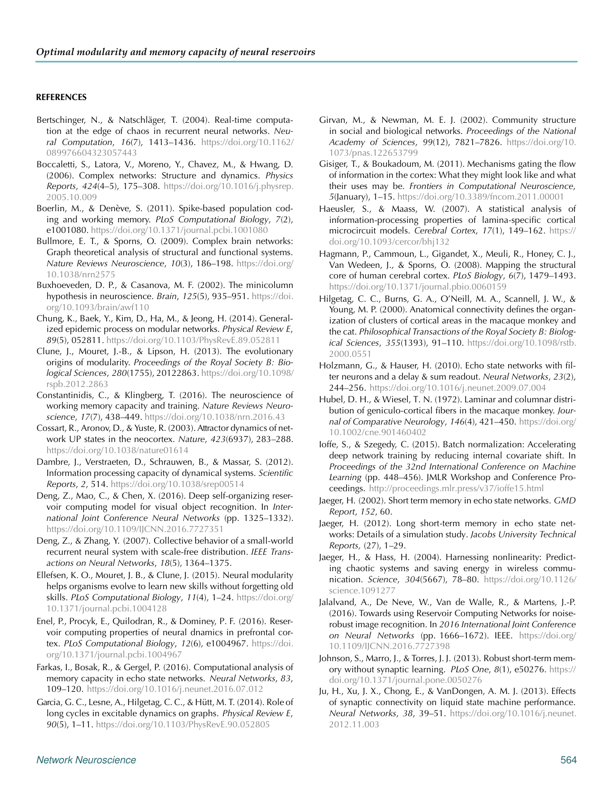#### **REFERENCES**

- <span id="page-13-23"></span>Bertschinger, N., & Natschläger, T. (2004). Real-time computation at the edge of chaos in recurrent neural networks. *Neural Computation*, *16*(7), 1413–1436. [https://doi.org/10.1162/](https://doi.org/10.1162/089976604323057443) [089976604323057443](https://doi.org/10.1162/089976604323057443)
- <span id="page-13-9"></span>Boccaletti, S., Latora, V., Moreno, Y., Chavez, M., & Hwang, D. (2006). Complex networks: Structure and dynamics. *Physics Reports*, *424*(4–5), 175–308. [https://doi.org/10.1016/j.physrep.](https://doi.org/10.1016/j.physrep.2005.10.009) [2005.10.009](https://doi.org/10.1016/j.physrep.2005.10.009)
- <span id="page-13-4"></span>Boerlin, M., & Denève, S. (2011). Spike-based population coding and working memory. *PLoS Computational Biology*, *7*(2), e1001080. <https://doi.org/10.1371/journal.pcbi.1001080>
- <span id="page-13-3"></span>Bullmore, E. T., & Sporns, O. (2009). Complex brain networks: Graph theoretical analysis of structural and functional systems. *Nature Reviews Neuroscience*, *10*(3), 186–198. [https://doi.org/](https://doi.org/10.1038/nrn2575) [10.1038/nrn2575](https://doi.org/10.1038/nrn2575)
- <span id="page-13-25"></span>Buxhoeveden, D. P., & Casanova, M. F. (2002). The minicolumn hypothesis in neuroscience. *Brain*, *125*(5), 935–951. [https://doi.](https://doi.org/10.1093/brain/awf110) [org/10.1093/brain/awf110](https://doi.org/10.1093/brain/awf110)
- <span id="page-13-10"></span>Chung, K., Baek, Y., Kim, D., Ha, M., & Jeong, H. (2014). Generalized epidemic process on modular networks. *Physical Review E*, *89*(5), 052811. <https://doi.org/10.1103/PhysRevE.89.052811>
- <span id="page-13-28"></span>Clune, J., Mouret, J.-B., & Lipson, H. (2013). The evolutionary origins of modularity. *Proceedings of the Royal Society B: Biological Sciences*, *280*(1755), 20122863. [https://doi.org/10.1098/](https://doi.org/10.1098/rspb.2012.2863) [rspb.2012.2863](https://doi.org/10.1098/rspb.2012.2863)
- <span id="page-13-5"></span>Constantinidis, C., & Klingberg, T. (2016). The neuroscience of working memory capacity and training. *Nature Reviews Neuroscience*, *17*(7), 438–449. <https://doi.org/10.1038/nrn.2016.43>
- <span id="page-13-6"></span>Cossart, R., Aronov, D., & Yuste, R. (2003). Attractor dynamics of network UP states in the neocortex. *Nature*, *423*(6937), 283–288. <https://doi.org/10.1038/nature01614>
- <span id="page-13-21"></span>Dambre, J., Verstraeten, D., Schrauwen, B., & Massar, S. (2012). Information processing capacity of dynamical systems. *Scientific Reports*, *2*, 514. <https://doi.org/10.1038/srep00514>
- <span id="page-13-13"></span>Deng, Z., Mao, C., & Chen, X. (2016). Deep self-organizing reservoir computing model for visual object recognition. In *International Joint Conference Neural Networks* (pp. 1325–1332). <https://doi.org/10.1109/IJCNN.2016.7727351>
- <span id="page-13-20"></span>Deng, Z., & Zhang, Y. (2007). Collective behavior of a small-world recurrent neural system with scale-free distribution. *IEEE Transactions on Neural Networks*, *18*(5), 1364–1375.
- <span id="page-13-29"></span>Ellefsen, K. O., Mouret, J. B., & Clune, J. (2015). Neural modularity helps organisms evolve to learn new skills without forgetting old skills. *PLoS Computational Biology*, *11*(4), 1–24. [https://doi.org/](https://doi.org/10.1371/journal.pcbi.1004128) [10.1371/journal.pcbi.1004128](https://doi.org/10.1371/journal.pcbi.1004128)
- <span id="page-13-11"></span>Enel, P., Procyk, E., Quilodran, R., & Dominey, P. F. (2016). Reservoir computing properties of neural dnamics in prefrontal cortex. *PLoS Computational Biology*, *12*(6), e1004967. [https://doi.](https://doi.org/10.1371/journal.pcbi.1004967) [org/10.1371/journal.pcbi.1004967](https://doi.org/10.1371/journal.pcbi.1004967)
- <span id="page-13-17"></span>Farkas, I., Bosak, R., & Gergel, P. (2016). Computational analysis of memory capacity in echo state networks. *Neural Networks*, *83*, 109–120. <https://doi.org/10.1016/j.neunet.2016.07.012>
- <span id="page-13-22"></span>Garcia, G. C., Lesne, A., Hilgetag, C. C., & Hütt, M. T. (2014). Role of long cycles in excitable dynamics on graphs. *Physical Review E*, *90*(5), 1–11. <https://doi.org/10.1103/PhysRevE.90.052805>
- <span id="page-13-7"></span><span id="page-13-2"></span>Gisiger, T., & Boukadoum, M. (2011). Mechanisms gating the flow of information in the cortex: What they might look like and what their uses may be. *Frontiers in Computational Neuroscience*, *5*(January), 1–15. <https://doi.org/10.3389/fncom.2011.00001>
- <span id="page-13-24"></span>Haeusler, S., & Maass, W. (2007). A statistical analysis of information-processing properties of lamina-specific cortical microcircuit models. *Cerebral Cortex*, *17*(1), 149–162. [https://](https://doi.org/10.1093/cercor/bhj132) [doi.org/10.1093/cercor/bhj132](https://doi.org/10.1093/cercor/bhj132)
- <span id="page-13-26"></span>Hagmann, P., Cammoun, L., Gigandet, X., Meuli, R., Honey, C. J., Van Wedeen, J., & Sporns, O. (2008). Mapping the structural core of human cerebral cortex. *PLoS Biology*, *6*(7), 1479–1493. <https://doi.org/10.1371/journal.pbio.0060159>
- <span id="page-13-27"></span>Hilgetag, C. C., Burns, G. A., O'Neill, M. A., Scannell, J. W., & Young, M. P. (2000). Anatomical connectivity defines the organization of clusters of cortical areas in the macaque monkey and the cat. *Philosophical Transactions of the Royal Society B: Biological Sciences*, *355*(1393), 91–110. [https://doi.org/10.1098/rstb.](https://doi.org/10.1098/rstb.2000.0551) [2000.0551](https://doi.org/10.1098/rstb.2000.0551)
- <span id="page-13-14"></span>Holzmann, G., & Hauser, H. (2010). Echo state networks with filter neurons and a delay & sum readout. *Neural Networks*, *23*(2), 244–256. <https://doi.org/10.1016/j.neunet.2009.07.004>
- <span id="page-13-0"></span>Hubel, D. H., & Wiesel, T. N. (1972). Laminar and columnar distribution of geniculo-cortical fibers in the macaque monkey. *Journal of Comparative Neurology*, *146*(4), 421–450. [https://doi.org/](https://doi.org/10.1002/cne.901460402) [10.1002/cne.901460402](https://doi.org/10.1002/cne.901460402)
- <span id="page-13-1"></span>Ioffe, S., & Szegedy, C. (2015). Batch normalization: Accelerating deep network training by reducing internal covariate shift. In *Proceedings of the 32nd International Conference on Machine Learning* (pp. 448–456). JMLR Workshop and Conference Proceedings. <http://proceedings.mlr.press/v37/ioffe15.html>
- <span id="page-13-18"></span>Jaeger, H. (2002). Short term memory in echo state networks. *GMD Report*, *152*, 60.
- <span id="page-13-15"></span>Jaeger, H. (2012). Long short-term memory in echo state networks: Details of a simulation study. *Jacobs University Technical Reports,* (27), 1–29.
- <span id="page-13-12"></span>Jaeger, H., & Hass, H. (2004). Harnessing nonlinearity: Predicting chaotic systems and saving energy in wireless communication. *Science*, *304*(5667), 78–80. [https://doi.org/10.1126/](https://doi.org/10.1126/science.1091277) [science.1091277](https://doi.org/10.1126/science.1091277)
- <span id="page-13-16"></span>Jalalvand, A., De Neve, W., Van de Walle, R., & Martens, J.-P. (2016). Towards using Reservoir Computing Networks for noiserobust image recognition. In *2016 International Joint Conference on Neural Networks* (pp. 1666–1672). IEEE. [https://doi.org/](https://doi.org/10.1109/IJCNN.2016.7727398) [10.1109/IJCNN.2016.7727398](https://doi.org/10.1109/IJCNN.2016.7727398)
- <span id="page-13-8"></span>Johnson, S., Marro, J., & Torres, J. J. (2013). Robust short-term memory without synaptic learning. *PLoS One*, *8*(1), e50276. [https://](https://doi.org/10.1371/journal.pone.0050276) [doi.org/10.1371/journal.pone.0050276](https://doi.org/10.1371/journal.pone.0050276)
- <span id="page-13-19"></span>Ju, H., Xu, J. X., Chong, E., & VanDongen, A. M. J. (2013). Effects of synaptic connectivity on liquid state machine performance. *Neural Networks*, *38*, 39–51. [https://doi.org/10.1016/j.neunet.](https://doi.org/10.1016/j.neunet.2012.11.003) [2012.11.003](https://doi.org/10.1016/j.neunet.2012.11.003)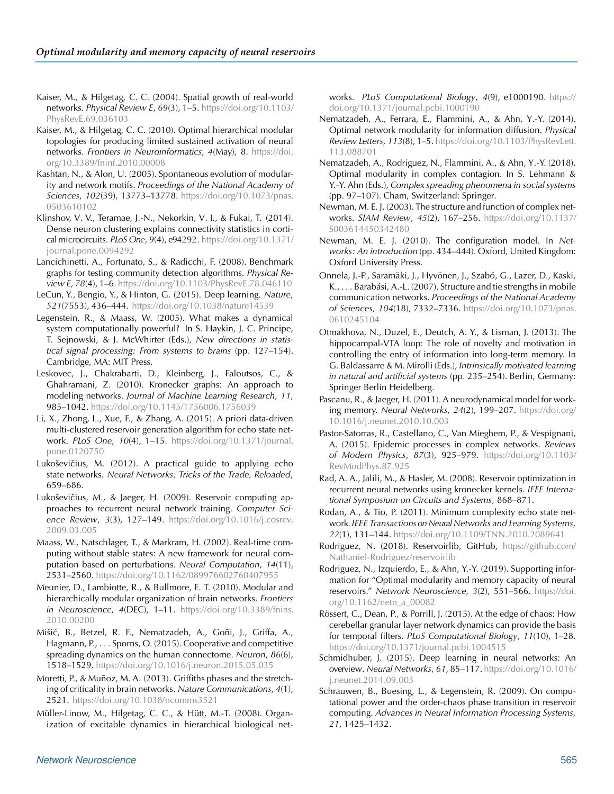- <span id="page-14-26"></span>Kaiser, M., & Hilgetag, C. C. (2004). Spatial growth of real-world networks. *Physical Review E*, *69*(3), 1–5. [https://doi.org/10.1103/](https://doi.org/10.1103/PhysRevE.69.036103) [PhysRevE.69.036103](https://doi.org/10.1103/PhysRevE.69.036103)
- <span id="page-14-4"></span>Kaiser, M., & Hilgetag, C. C. (2010). Optimal hierarchical modular topologies for producing limited sustained activation of neural networks. *Frontiers in Neuroinformatics*, *4*(May), 8. [https://doi.](https://doi.org/10.3389/fninf.2010.00008) [org/10.3389/fninf.2010.00008](https://doi.org/10.3389/fninf.2010.00008)
- <span id="page-14-25"></span>Kashtan, N., & Alon, U. (2005). Spontaneous evolution of modularity and network motifs. *Proceedings of the National Academy of Sciences*, *102*(39), 13773–13778. [https://doi.org/10.1073/pnas.](https://doi.org/10.1073/pnas.0503610102) [0503610102](https://doi.org/10.1073/pnas.0503610102)
- <span id="page-14-7"></span>Klinshov, V. V., Teramae, J.-N., Nekorkin, V. I., & Fukai, T. (2014). Dense neuron clustering explains connectivity statistics in corticalmicrocircuits. *PLoS One*, *9*(4), e94292. [https://doi.org/10.1371/](https://doi.org/10.1371/journal.pone.0094292) [journal.pone.0094292](https://doi.org/10.1371/journal.pone.0094292)
- <span id="page-14-27"></span>Lancichinetti, A., Fortunato, S., & Radicchi, F. (2008). Benchmark graphs for testing community detection algorithms. *Physical Review E*, *78*(4), 1–6. <https://doi.org/10.1103/PhysRevE.78.046110>
- <span id="page-14-0"></span>LeCun, Y., Bengio, Y., & Hinton, G. (2015). Deep learning. *Nature*, *521*(7553), 436–444. <https://doi.org/10.1038/nature14539>
- <span id="page-14-3"></span>Legenstein, R., & Maass, W. (2005). What makes a dynamical system computationally powerful? In S. Haykin, J. C. Principe, T. Sejnowski, & J. McWhirter (Eds.), *New directions in statistical signal processing: From systems to brains* (pp. 127–154). Cambridge, MA: MIT Press.
- <span id="page-14-19"></span>Leskovec, J., Chakrabarti, D., Kleinberg, J., Faloutsos, C., & Ghahramani, Z. (2010). Kronecker graphs: An approach to modeling networks. *Journal of Machine Learning Research*, *11*, 985–1042. <https://doi.org/10.1145/1756006.1756039>
- <span id="page-14-18"></span>Li, X., Zhong, L., Xue, F., & Zhang, A. (2015). A priori data-driven multi-clustered reservoir generation algorithm for echo state network. *PLoS One*, *10*(4), 1–15. [https://doi.org/10.1371/journal.](https://doi.org/10.1371/journal.pone.0120750) [pone.0120750](https://doi.org/10.1371/journal.pone.0120750)
- <span id="page-14-22"></span>Lukoševičius, M.  $(2012)$ . A practical guide to applying echo state networks. *Neural Networks: Tricks of the Trade, Reloaded*, 659–686.
- <span id="page-14-13"></span>Lukoševičius, M., & Jaeger, H. (2009). Reservoir computing approaches to recurrent neural network training. *Computer Science Review*, *3*(3), 127–149. [https://doi.org/10.1016/j.cosrev.](https://doi.org/10.1016/j.cosrev.2009.03.005) [2009.03.005](https://doi.org/10.1016/j.cosrev.2009.03.005)
- <span id="page-14-14"></span>Maass, W., Natschlager, T., & Markram, H. (2002). Real-time computing without stable states: A new framework for neural computation based on perturbations. *Neural Computation*, *14*(11), 2531–2560. <https://doi.org/10.1162/089976602760407955>
- <span id="page-14-24"></span>Meunier, D., Lambiotte, R., & Bullmore, E. T. (2010). Modular and hierarchically modular organization of brain networks. *Frontiers in Neuroscience*, *4*(DEC), 1–11. [https://doi.org/10.3389/fnins.](https://doi.org/10.3389/fnins.2010.00200) [2010.00200](https://doi.org/10.3389/fnins.2010.00200)
- <span id="page-14-8"></span>Mišic, B., Betzel, R. F., Nematzadeh, A., Goñi, J., Griffa, A., ´ Hagmann, P., . . . Sporns, O. (2015). Cooperative and competitive spreading dynamics on the human connectome. *Neuron*, *86*(6), 1518–1529. <https://doi.org/10.1016/j.neuron.2015.05.035>
- <span id="page-14-5"></span>Moretti, P., & Muñoz, M. A. (2013). Griffiths phases and the stretching of criticality in brain networks. *Nature Communications*, *4*(1), 2521. <https://doi.org/10.1038/ncomms3521>
- <span id="page-14-6"></span>Müller-Linow, M., Hilgetag, C. C., & Hütt, M.-T. (2008). Organization of excitable dynamics in hierarchical biological net-

works. *PLoS Computational Biology*, *4*(9), e1000190. [https://](https://doi.org/10.1371/journal.pcbi.1000190) [doi.org/10.1371/journal.pcbi.1000190](https://doi.org/10.1371/journal.pcbi.1000190)

- <span id="page-14-12"></span>Nematzadeh, A., Ferrara, E., Flammini, A., & Ahn, Y.-Y. (2014). Optimal network modularity for information diffusion. *Physical Review Letters*, *113*(8), 1–5. [https://doi.org/10.1103/PhysRevLett.](https://doi.org/10.1103/PhysRevLett.113.088701) [113.088701](https://doi.org/10.1103/PhysRevLett.113.088701)
- <span id="page-14-30"></span>Nematzadeh, A., Rodriguez, N., Flammini, A., & Ahn, Y.-Y. (2018). Optimal modularity in complex contagion. In S. Lehmann & Y.-Y. Ahn (Eds.), *Complex spreading phenomena in social systems* (pp. 97–107). Cham, Switzerland: Springer.
- <span id="page-14-9"></span>Newman, M. E. J. (2003). The structure and function of complex networks. *SIAM Review*, *45*(2), 167–256. [https://doi.org/10.1137/](https://doi.org/10.1137/S003614450342480) [S003614450342480](https://doi.org/10.1137/S003614450342480)
- <span id="page-14-28"></span>Newman, M. E. J. (2010). The configuration model. In *Networks: An introduction* (pp. 434–444). Oxford, United Kingdom: Oxford University Press.
- <span id="page-14-11"></span>Onnela, J.-P., Saramäki, J., Hyvönen, J., Szabó, G., Lazer, D., Kaski, K., . . . Barabási, A.-L. (2007). Structure and tie strengths in mobile communication networks. *Proceedings of the National Academy of Sciences*, *104*(18), 7332–7336. [https://doi.org/10.1073/pnas.](https://doi.org/10.1073/pnas.0610245104) [0610245104](https://doi.org/10.1073/pnas.0610245104)
- <span id="page-14-1"></span>Otmakhova, N., Duzel, E., Deutch, A. Y., & Lisman, J. (2013). The hippocampal-VTA loop: The role of novelty and motivation in controlling the entry of information into long-term memory. In G. Baldassarre & M. Mirolli (Eds.), *Intrinsically motivated learning in natural and artificial systems* (pp. 235–254). Berlin, Germany: Springer Berlin Heidelberg.
- <span id="page-14-16"></span>Pascanu, R., & Jaeger, H. (2011). A neurodynamical model for working memory. *Neural Networks*, *24*(2), 199–207. [https://doi.org/](https://doi.org/10.1016/j.neunet.2010.10.003) [10.1016/j.neunet.2010.10.003](https://doi.org/10.1016/j.neunet.2010.10.003)
- <span id="page-14-10"></span>Pastor-Satorras, R., Castellano, C., Van Mieghem, P., & Vespignani, A. (2015). Epidemic processes in complex networks. *Reviews of Modern Physics*, *87*(3), 925–979. [https://doi.org/10.1103/](https://doi.org/10.1103/RevModPhys.87.925) [RevModPhys.87.925](https://doi.org/10.1103/RevModPhys.87.925)
- <span id="page-14-20"></span>Rad, A. A., Jalili, M., & Hasler, M. (2008). Reservoir optimization in recurrent neural networks using kronecker kernels. *IEEE International Symposium on Circuits and Systems*, 868–871.
- <span id="page-14-17"></span>Rodan, A., & Tio, P. (2011). Minimum complexity echo state network.*IEEE Transactions on Neural Networks and Learning Systems*, *22*(1), 131–144. <https://doi.org/10.1109/TNN.2010.2089641>
- <span id="page-14-29"></span>Rodriguez, N. (2018). Reservoirlib, GitHub, [https://github.com/](https://github.com/Nathaniel-Rodriguez/reservoirlib) [Nathaniel-Rodriguez/reservoirlib](https://github.com/Nathaniel-Rodriguez/reservoirlib)
- <span id="page-14-21"></span>Rodriguez, N., Izquierdo, E., & Ahn, Y.-Y. (2019). Supporting information for "Optimal modularity and memory capacity of neural reservoirs." *Network Neuroscience*, *3*(2), 551–566. [https://doi.](https://doi.org/10.1162/netn_a_00082) [org/10.1162/netn\\_a\\_00082](https://doi.org/10.1162/netn_a_00082)
- <span id="page-14-15"></span>Rössert, C., Dean, P., & Porrill, J. (2015). At the edge of chaos: How cerebellar granular layer network dynamics can provide the basis for temporal filters. *PLoS Computational Biology*, *11*(10), 1–28. <https://doi.org/10.1371/journal.pcbi.1004515>
- <span id="page-14-2"></span>Schmidhuber, J. (2015). Deep learning in neural networks: An overview. *Neural Networks*, *61*, 85–117. [https://doi.org/10.1016/](https://doi.org/10.1016/j.neunet.2014.09.003) [j.neunet.2014.09.003](https://doi.org/10.1016/j.neunet.2014.09.003)
- <span id="page-14-23"></span>Schrauwen, B., Buesing, L., & Legenstein, R. (2009). On computational power and the order-chaos phase transition in reservoir computing. *Advances in Neural Information Processing Systems*, *21*, 1425–1432.